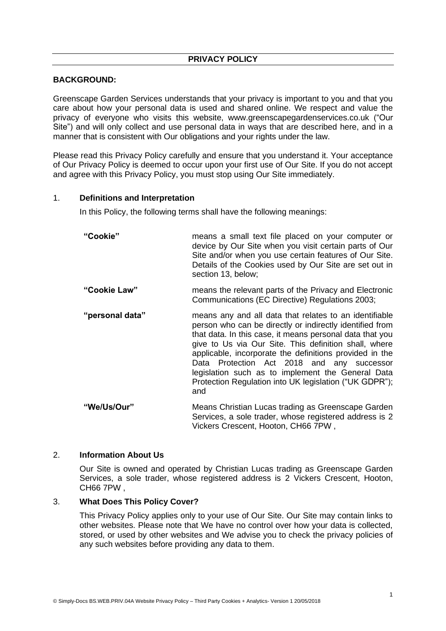# **BACKGROUND:**

Greenscape Garden Services understands that your privacy is important to you and that you care about how your personal data is used and shared online. We respect and value the privacy of everyone who visits this website, www.greenscapegardenservices.co.uk ("Our Site") and will only collect and use personal data in ways that are described here, and in a manner that is consistent with Our obligations and your rights under the law.

Please read this Privacy Policy carefully and ensure that you understand it. Your acceptance of Our Privacy Policy is deemed to occur upon your first use of Our Site. If you do not accept and agree with this Privacy Policy, you must stop using Our Site immediately.

#### 1. **Definitions and Interpretation**

In this Policy, the following terms shall have the following meanings:

| "Cookie"        | means a small text file placed on your computer or<br>device by Our Site when you visit certain parts of Our<br>Site and/or when you use certain features of Our Site.<br>Details of the Cookies used by Our Site are set out in<br>section 13, below;                                                                                                                                                                                                                 |
|-----------------|------------------------------------------------------------------------------------------------------------------------------------------------------------------------------------------------------------------------------------------------------------------------------------------------------------------------------------------------------------------------------------------------------------------------------------------------------------------------|
| "Cookie Law"    | means the relevant parts of the Privacy and Electronic<br>Communications (EC Directive) Regulations 2003;                                                                                                                                                                                                                                                                                                                                                              |
| "personal data" | means any and all data that relates to an identifiable<br>person who can be directly or indirectly identified from<br>that data. In this case, it means personal data that you<br>give to Us via Our Site. This definition shall, where<br>applicable, incorporate the definitions provided in the<br>Data Protection Act 2018 and any successor<br>legislation such as to implement the General Data<br>Protection Regulation into UK legislation ("UK GDPR");<br>and |
| "We/Us/Our"     | Means Christian Lucas trading as Greenscape Garden<br>Services, a sole trader, whose registered address is 2<br>Vickers Crescent, Hooton, CH66 7PW,                                                                                                                                                                                                                                                                                                                    |

### 2. **Information About Us**

Our Site is owned and operated by Christian Lucas trading as Greenscape Garden Services, a sole trader, whose registered address is 2 Vickers Crescent, Hooton, CH66 7PW ,

#### 3. **What Does This Policy Cover?**

This Privacy Policy applies only to your use of Our Site. Our Site may contain links to other websites. Please note that We have no control over how your data is collected, stored, or used by other websites and We advise you to check the privacy policies of any such websites before providing any data to them.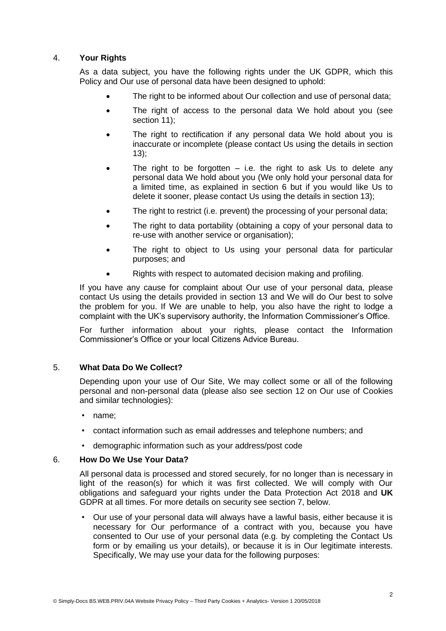# 4. **Your Rights**

As a data subject, you have the following rights under the UK GDPR, which this Policy and Our use of personal data have been designed to uphold:

- The right to be informed about Our collection and use of personal data;
- The right of access to the personal data We hold about you (see section 11);
- The right to rectification if any personal data We hold about you is inaccurate or incomplete (please contact Us using the details in section 13);
- The right to be forgotten  $-$  i.e. the right to ask Us to delete any personal data We hold about you (We only hold your personal data for a limited time, as explained in section 6 but if you would like Us to delete it sooner, please contact Us using the details in section 13);
- The right to restrict (i.e. prevent) the processing of your personal data;
- The right to data portability (obtaining a copy of your personal data to re-use with another service or organisation);
- The right to object to Us using your personal data for particular purposes; and
- Rights with respect to automated decision making and profiling.

If you have any cause for complaint about Our use of your personal data, please contact Us using the details provided in section 13 and We will do Our best to solve the problem for you. If We are unable to help, you also have the right to lodge a complaint with the UK's supervisory authority, the Information Commissioner's Office.

For further information about your rights, please contact the Information Commissioner's Office or your local Citizens Advice Bureau.

# 5. **What Data Do We Collect?**

Depending upon your use of Our Site, We may collect some or all of the following personal and non-personal data (please also see section 12 on Our use of Cookies and similar technologies):

- name;
- contact information such as email addresses and telephone numbers; and
- demographic information such as your address/post code

#### 6. **How Do We Use Your Data?**

All personal data is processed and stored securely, for no longer than is necessary in light of the reason(s) for which it was first collected. We will comply with Our obligations and safeguard your rights under the Data Protection Act 2018 and **UK**  GDPR at all times. For more details on security see section 7, below.

▪ Our use of your personal data will always have a lawful basis, either because it is necessary for Our performance of a contract with you, because you have consented to Our use of your personal data (e.g. by completing the Contact Us form or by emailing us your details), or because it is in Our legitimate interests. Specifically, We may use your data for the following purposes: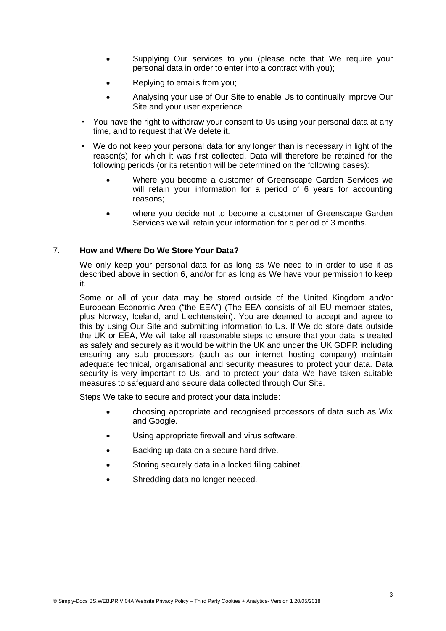- Supplying Our services to you (please note that We require your personal data in order to enter into a contract with you);
- Replying to emails from you;
- Analysing your use of Our Site to enable Us to continually improve Our Site and your user experience
- You have the right to withdraw your consent to Us using your personal data at any time, and to request that We delete it.
- We do not keep your personal data for any longer than is necessary in light of the reason(s) for which it was first collected. Data will therefore be retained for the following periods (or its retention will be determined on the following bases):
	- Where you become a customer of Greenscape Garden Services we will retain your information for a period of 6 years for accounting reasons;
	- where you decide not to become a customer of Greenscape Garden Services we will retain your information for a period of 3 months.

# 7. **How and Where Do We Store Your Data?**

We only keep your personal data for as long as We need to in order to use it as described above in section 6, and/or for as long as We have your permission to keep it.

Some or all of your data may be stored outside of the United Kingdom and/or European Economic Area ("the EEA") (The EEA consists of all EU member states, plus Norway, Iceland, and Liechtenstein). You are deemed to accept and agree to this by using Our Site and submitting information to Us. If We do store data outside the UK or EEA, We will take all reasonable steps to ensure that your data is treated as safely and securely as it would be within the UK and under the UK GDPR including ensuring any sub processors (such as our internet hosting company) maintain adequate technical, organisational and security measures to protect your data. Data security is very important to Us, and to protect your data We have taken suitable measures to safeguard and secure data collected through Our Site.

Steps We take to secure and protect your data include:

- choosing appropriate and recognised processors of data such as Wix and Google.
- Using appropriate firewall and virus software.
- Backing up data on a secure hard drive.
- Storing securely data in a locked filing cabinet.
- Shredding data no longer needed.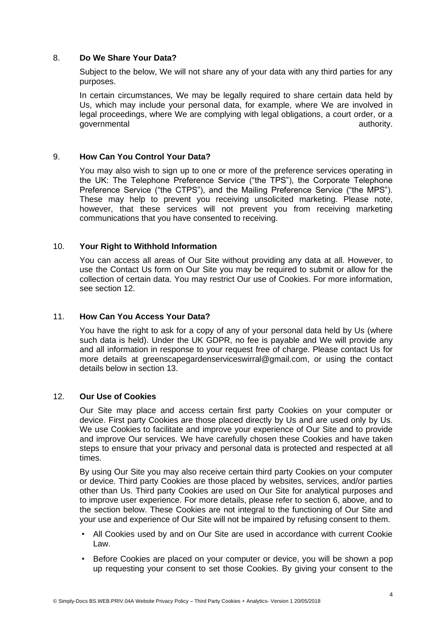# 8. **Do We Share Your Data?**

Subject to the below, We will not share any of your data with any third parties for any purposes.

In certain circumstances, We may be legally required to share certain data held by Us, which may include your personal data, for example, where We are involved in legal proceedings, where We are complying with legal obligations, a court order, or a governmental authority.

### 9. **How Can You Control Your Data?**

You may also wish to sign up to one or more of the preference services operating in the UK: The Telephone Preference Service ("the TPS"), the Corporate Telephone Preference Service ("the CTPS"), and the Mailing Preference Service ("the MPS"). These may help to prevent you receiving unsolicited marketing. Please note, however, that these services will not prevent you from receiving marketing communications that you have consented to receiving.

### 10. **Your Right to Withhold Information**

You can access all areas of Our Site without providing any data at all. However, to use the Contact Us form on Our Site you may be required to submit or allow for the collection of certain data. You may restrict Our use of Cookies. For more information, see section 12.

#### 11. **How Can You Access Your Data?**

You have the right to ask for a copy of any of your personal data held by Us (where such data is held). Under the UK GDPR, no fee is payable and We will provide any and all information in response to your request free of charge. Please contact Us for more details at greenscapegardenserviceswirral@gmail.com, or using the contact details below in section 13.

#### 12. **Our Use of Cookies**

Our Site may place and access certain first party Cookies on your computer or device. First party Cookies are those placed directly by Us and are used only by Us. We use Cookies to facilitate and improve your experience of Our Site and to provide and improve Our services. We have carefully chosen these Cookies and have taken steps to ensure that your privacy and personal data is protected and respected at all times.

By using Our Site you may also receive certain third party Cookies on your computer or device. Third party Cookies are those placed by websites, services, and/or parties other than Us. Third party Cookies are used on Our Site for analytical purposes and to improve user experience. For more details, please refer to section 6, above, and to the section below. These Cookies are not integral to the functioning of Our Site and your use and experience of Our Site will not be impaired by refusing consent to them.

- All Cookies used by and on Our Site are used in accordance with current Cookie Law.
- Before Cookies are placed on your computer or device, you will be shown a pop up requesting your consent to set those Cookies. By giving your consent to the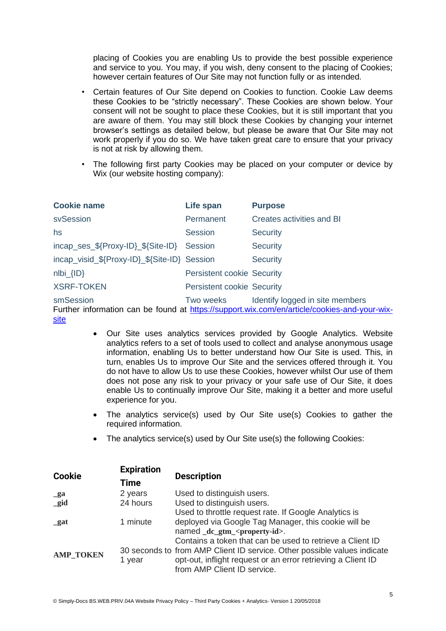placing of Cookies you are enabling Us to provide the best possible experience and service to you. You may, if you wish, deny consent to the placing of Cookies; however certain features of Our Site may not function fully or as intended.

- Certain features of Our Site depend on Cookies to function. Cookie Law deems these Cookies to be "strictly necessary". These Cookies are shown below. Your consent will not be sought to place these Cookies, but it is still important that you are aware of them. You may still block these Cookies by changing your internet browser's settings as detailed below, but please be aware that Our Site may not work properly if you do so. We have taken great care to ensure that your privacy is not at risk by allowing them.
- The following first party Cookies may be placed on your computer or device by Wix (our website hosting company):

| <b>Cookie name</b>                           | Life span                         | <b>Purpose</b>                                                                                                                  |
|----------------------------------------------|-----------------------------------|---------------------------------------------------------------------------------------------------------------------------------|
| svSession                                    | Permanent                         | Creates activities and BI                                                                                                       |
| hs                                           | <b>Session</b>                    | <b>Security</b>                                                                                                                 |
| incap_ses_\${Proxy-ID}_\${Site-ID}           | <b>Session</b>                    | <b>Security</b>                                                                                                                 |
| incap_visid_\${Proxy-ID}_\${Site-ID} Session |                                   | <b>Security</b>                                                                                                                 |
| $nIbi_{I}I D$                                | <b>Persistent cookie Security</b> |                                                                                                                                 |
| <b>XSRF-TOKEN</b>                            | <b>Persistent cookie Security</b> |                                                                                                                                 |
| smSession                                    | Two weeks                         | Identify logged in site members<br>Further information can be found at https://support.wix.com/en/article/cookies-and-your-wix- |

[site](https://support.wix.com/en/article/cookies-and-your-wix-site)

- Our Site uses analytics services provided by Google Analytics. Website analytics refers to a set of tools used to collect and analyse anonymous usage information, enabling Us to better understand how Our Site is used. This, in turn, enables Us to improve Our Site and the services offered through it. You do not have to allow Us to use these Cookies, however whilst Our use of them does not pose any risk to your privacy or your safe use of Our Site, it does enable Us to continually improve Our Site, making it a better and more useful experience for you.
- The analytics service(s) used by Our Site use(s) Cookies to gather the required information.
- The analytics service(s) used by Our Site use(s) the following Cookies:

| <b>Cookie</b>    | <b>Expiration</b><br>Time | <b>Description</b>                                                       |
|------------------|---------------------------|--------------------------------------------------------------------------|
| $_{\rm g}$ a     | 2 years                   | Used to distinguish users.                                               |
| $\_gid$          | 24 hours                  | Used to distinguish users.                                               |
|                  |                           | Used to throttle request rate. If Google Analytics is                    |
| gat              | 1 minute                  | deployed via Google Tag Manager, this cookie will be                     |
|                  |                           | named _dc_gtm_ <property-id>.</property-id>                              |
| <b>AMP_TOKEN</b> |                           | Contains a token that can be used to retrieve a Client ID                |
|                  |                           | 30 seconds to from AMP Client ID service. Other possible values indicate |
|                  | 1 year                    | opt-out, inflight request or an error retrieving a Client ID             |
|                  |                           | from AMP Client ID service.                                              |